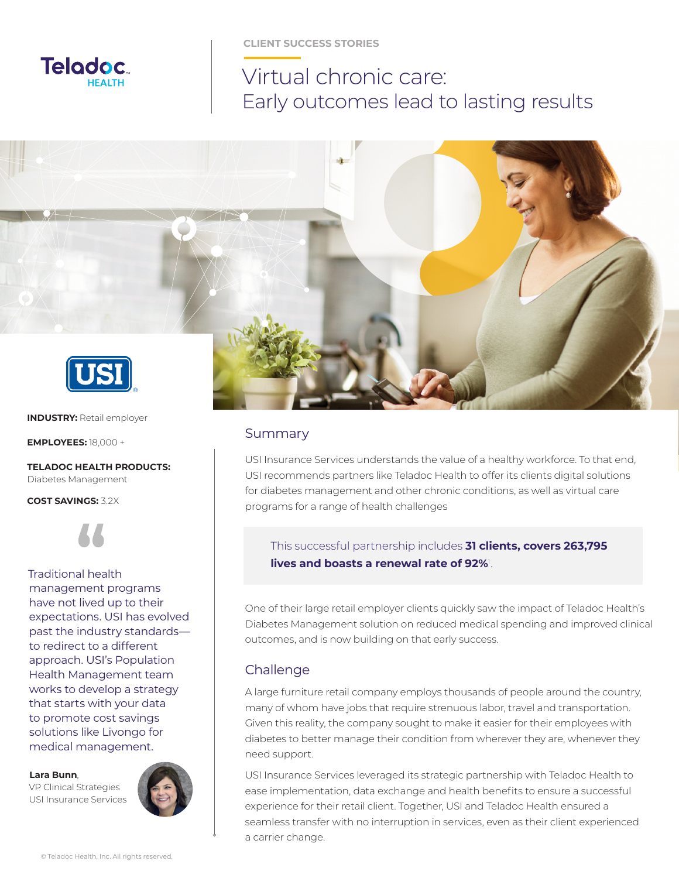

**CLIENT SUCCESS STORIES**

# Virtual chronic care: Early outcomes lead to lasting results



### Summary

USI Insurance Services understands the value of a healthy workforce. To that end, USI recommends partners like Teladoc Health to offer its clients digital solutions for diabetes management and other chronic conditions, as well as virtual care programs for a range of health challenges

#### This successful partnership includes **31 clients, covers 263,795 lives and boasts a renewal rate of 92%**<sup>1</sup> .

One of their large retail employer clients quickly saw the impact of Teladoc Health's Diabetes Management solution on reduced medical spending and improved clinical outcomes, and is now building on that early success.

# Challenge

A large furniture retail company employs thousands of people around the country, many of whom have jobs that require strenuous labor, travel and transportation. Given this reality, the company sought to make it easier for their employees with diabetes to better manage their condition from wherever they are, whenever they need support.

USI Insurance Services leveraged its strategic partnership with Teladoc Health to ease implementation, data exchange and health benefits to ensure a successful experience for their retail client. Together, USI and Teladoc Health ensured a seamless transfer with no interruption in services, even as their client experienced a carrier change.

**INDUSTRY:** Retail employer

**EMPLOYEES:** 18,000 +

**TELADOC HEALTH PRODUCTS:** Diabetes Management

**COST SAVINGS:** 3.2X



### Traditional health management programs

have not lived up to their expectations. USI has evolved past the industry standards to redirect to a different approach. USI's Population Health Management team works to develop a strategy that starts with your data to promote cost savings solutions like Livongo for medical management.

**Lara Bunn**,

VP Clinical Strategies USI Insurance Services